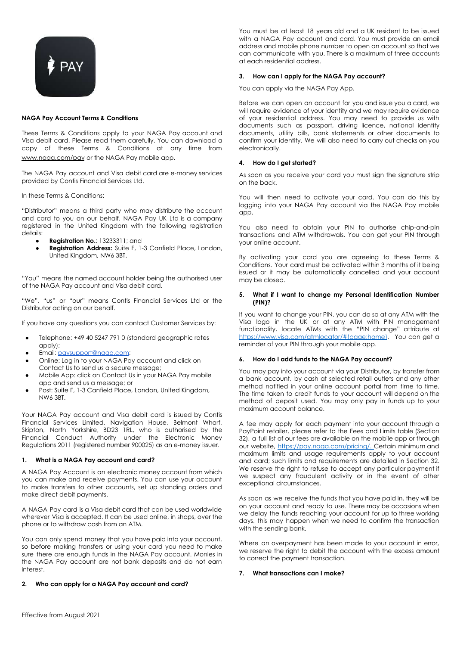

## **NAGA Pay Account Terms & Conditions**

These Terms & Conditions apply to your NAGA Pay account and Visa debit card. Please read them carefully. You can download a copy of these Terms & Conditions at any time from [www.naga.com/pay](https://eur01.safelinks.protection.outlook.com/?url=http%3A%2F%2Fwww.naga.com%2Fpay&data=04%7C01%7Cchris.bould%40contis.com%7Ca835b22a7d03418dad0308d96c63ab04%7C915af898fa13481c9ea8d7f17f854dbc%7C0%7C0%7C637659997591754087%7CUnknown%7CTWFpbGZsb3d8eyJWIjoiMC4wLjAwMDAiLCJQIjoiV2luMzIiLCJBTiI6Ik1haWwiLCJXVCI6Mn0%3D%7C1000&sdata=Oicr%2BuQxEpQn2KSnYpkR4pXQnUO4VPyyWSrWVBQP8RU%3D&reserved=0) or the NAGA Pay mobile app.

The NAGA Pay account and Visa debit card are e-money services provided by Contis Financial Services Ltd.

In these Terms & Conditions:

"Distributor" means a third party who may distribute the account and card to you on our behalf. NAGA Pay UK Ltd is a company registered in the United Kingdom with the following registration details:

- **Registration No.**: 13233311; and
- **Registration Address:** Suite F, 1-3 Canfield Place, London, United Kingdom, NW6 3BT.

"You" means the named account holder being the authorised user of the NAGA Pay account and Visa debit card.

"We", "us" or "our" means Contis Financial Services Ltd or the Distributor acting on our behalf.

If you have any questions you can contact Customer Services by:

- Telephone: +49 40 5247 791 0 (standard geographic rates apply);
- Email: [paysupport@naga.com](mailto:paysupport@naga.com);
- Online: Log in to your NAGA Pay account and click on Contact Us to send us a secure message;
- Mobile App: click on Contact Us in your NAGA Pay mobile app and send us a message; or
- Post: Suite F, 1-3 Canfield Place, London, United Kingdom, NW6 3BT.

Your NAGA Pay account and Visa debit card is issued by Contis Financial Services Limited, Navigation House, Belmont Wharf, Skipton, North Yorkshire, BD23 1RL, who is authorised by the Financial Conduct Authority under the Electronic Money Regulations 2011 (registered number 900025) as an e-money issuer.

## **1. What is a NAGA Pay account and card?**

A NAGA Pay Account is an electronic money account from which you can make and receive payments. You can use your account to make transfers to other accounts, set up standing orders and make direct debit payments.

A NAGA Pay card is a Visa debit card that can be used worldwide wherever Visa is accepted. It can be used online, in shops, over the phone or to withdraw cash from an ATM.

You can only spend money that you have paid into your account, so before making transfers or using your card you need to make sure there are enough funds in the NAGA Pay account. Monies in the NAGA Pay account are not bank deposits and do not earn interest.

# **2. Who can apply for a NAGA Pay account and card?**

You must be at least 18 years old and a UK resident to be issued with a NAGA Pay account and card. You must provide an email address and mobile phone number to open an account so that we can communicate with you. There is a maximum of three accounts at each residential address.

## **3. How can I apply for the NAGA Pay account?**

You can apply via the NAGA Pay App.

Before we can open an account for you and issue you a card, we will require evidence of your identity and we may require evidence of your residential address. You may need to provide us with documents such as passport, driving licence, national identity documents, utility bills, bank statements or other documents to confirm your identity. We will also need to carry out checks on you electronically.

## **4. How do I get started?**

As soon as you receive your card you must sign the signature strip on the back.

You will then need to activate your card. You can do this by logging into your NAGA Pay account via the NAGA Pay mobile app.

You also need to obtain your PIN to authorise chip-and-pin transactions and ATM withdrawals. You can get your PIN through your online account.

By activating your card you are agreeing to these Terms & Conditions. Your card must be activated within 3 months of it being issued or it may be automatically cancelled and your account may be closed.

## **5. What if I want to change my Personal Identification Number (PIN)?**

If you want to change your PIN, you can do so at any ATM with the Visa logo in the UK or at any ATM with PIN management functionality, locate ATMs with the "PIN change" attribute at [https://www.visa.com/atmlocator/#\(page:home\)](https://www.visa.com/atmlocator/#(page:home)). You can get a reminder of your PIN through your mobile app.

## **6. How do I add funds to the NAGA Pay account?**

You may pay into your account via your Distributor, by transfer from a bank account, by cash at selected retail outlets and any other method notified in your online account portal from time to time. The time taken to credit funds to your account will depend on the method of deposit used. You may only pay in funds up to your maximum account balance.

A fee may apply for each payment into your account through a PayPoint retailer, please refer to the Fees and Limits table (Section 32), a full list of our fees are available on the mobile app or through our website, [https://pay.naga.com/pricing/.](https://pay.naga.com/pricing/) Certain minimum and maximum limits and usage requirements apply to your account and card; such limits and requirements are detailed in Section 32. We reserve the right to refuse to accept any particular payment if we suspect any fraudulent activity or in the event of other exceptional circumstances.

As soon as we receive the funds that you have paid in, they will be on your account and ready to use. There may be occasions when we delay the funds reaching your account for up to three working days, this may happen when we need to confirm the transaction with the sending bank.

Where an overpayment has been made to your account in error, we reserve the right to debit the account with the excess amount to correct the payment transaction.

## **7. What transactions can I make?**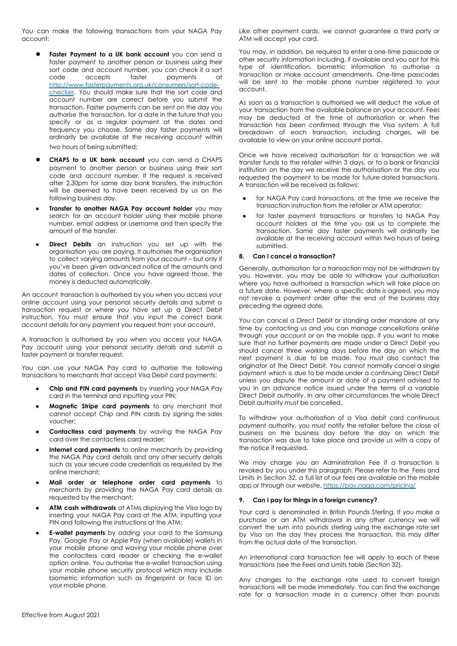You can make the following transactions from your NAGA Pay account:

- **Faster Payment to a UK bank account** you can send a faster payment to another person or business using their sort code and account number, you can check if a sort code accepts faster payments at [http://www.fasterpayments.org.uk/consumers/sort-code](http://www.fasterpayments.org.uk/consumers/sort-code-checker)[checker](http://www.fasterpayments.org.uk/consumers/sort-code-checker). You should make sure that the sort code and account number are correct before you submit the transaction. Faster payments can be sent on the day you authorise the transaction, for a date in the future that you specify or as a regular payment at the dates and frequency you choose. Same day faster payments will ordinarily be available at the receiving account within two hours of being submitted;
- **CHAPS to a UK bank account** you can send a CHAPS payment to another person or business using their sort code and account number. If the request is received after 2.30pm for same day bank transfers, the instruction will be deemed to have been received by us on the following business day.
- **Transfer to another NAGA Pay account holder** you may search for an account holder using their mobile phone number, email address or username and then specify the amount of the transfer.
- **Direct Debits** an instruction you set up with the organisation you are paying. It authorises the organisation to collect varying amounts from your account – but only if you've been given advanced notice of the amounts and dates of collection. Once you have agreed those, the money is deducted automatically.

An account transaction is authorised by you when you access your online account using your personal security details and submit a transaction request or where you have set up a Direct Debit instruction. You must ensure that you input the correct bank account details for any payment you request from your account.

A transaction is authorised by you when you access your NAGA Pay account using your personal security details and submit a faster payment or transfer request.

You can use your NAGA Pay card to authorise the following transactions to merchants that accept Visa Debit card payments:

- **Chip and PIN card payments** by inserting your NAGA Pay card in the terminal and inputting your PIN;
- **Magnetic Stripe card payments** to any merchant that cannot accept Chip and PIN cards by signing the sales voucher;
- **Contactless card payments** by waving the NAGA Pay card over the contactless card reader;
- **Internet card payments** to online merchants by providing the NAGA Pay card details and any other security details such as your secure code credentials as requested by the online merchant;
- **Mail order or telephone order card payments** to merchants by providing the NAGA Pay card details as requested by the merchant;
- **ATM cash withdrawals** at ATMs displaying the Visa logo by inserting your NAGA Pay card at the ATM, inputting your PIN and following the instructions at the ATM;
- **E-wallet payments** by adding your card to the Samsung Pay, Google Pay or Apple Pay (when available) wallets in your mobile phone and waving your mobile phone over the contactless card reader or checking the e-wallet option online. You authorise the e-wallet transaction using your mobile phone security protocol which may include biometric information such as fingerprint or face ID on your mobile phone.

Like other payment cards, we cannot guarantee a third party or ATM will accept your card.

You may, in addition, be required to enter a one-time passcode or other security information including, if available and you opt for this type of identification, biometric information to authorise a transaction or make account amendments. One-time passcodes will be sent to the mobile phone number registered to your account.

As soon as a transaction is authorised we will deduct the value of your transaction from the available balance on your account. Fees may be deducted at the time of authorisation or when the transaction has been confirmed through the Visa system. A full breakdown of each transaction, including charges, will be available to view on your online account portal.

Once we have received authorisation for a transaction we will transfer funds to the retailer within 3 days, or to a bank or financial institution on the day we receive the authorisation or the day you requested the payment to be made for future dated transactions. A transaction will be received as follows:

- for NAGA Pay card transactions, at the time we receive the transaction instruction from the retailer or ATM operator;
- for faster payment transactions or transfers to NAGA Pay account holders at the time you ask us to complete the transaction. Same day faster payments will ordinarily be available at the receiving account within two hours of being submitted.

## **8. Can I cancel a transaction?**

Generally, authorisation for a transaction may not be withdrawn by you. However, you may be able to withdraw your authorisation where you have authorised a transaction which will take place on a future date. However, where a specific date is agreed, you may not revoke a payment order after the end of the business day preceding the agreed date.

You can cancel a Direct Debit or standing order mandate at any time by contacting us and you can manage cancellations online through your account or on the mobile app. If you want to make sure that no further payments are made under a Direct Debit you should cancel three working days before the day on which the next payment is due to be made. You must also contact the originator of the Direct Debit. You cannot normally cancel a single payment which is due to be made under a continuing Direct Debit unless you dispute the amount or date of a payment advised to you in an advance notice issued under the terms of a variable Direct Debit authority. In any other circumstances the whole Direct Debit authority must be cancelled.

To withdraw your authorisation of a Visa debit card continuous payment authority, you must notify the retailer before the close of business on the business day before the day on which the transaction was due to take place and provide us with a copy of the notice if requested.

We may charge you an Administration Fee if a transaction is revoked by you under this paragraph. Please refer to the Fees and Limits in Section 32, a full list of our fees are available on the mobile app or through our website, <https://pay.naga.com/pricing/>

## **9. Can I pay for things in a foreign currency?**

Your card is denominated in British Pounds Sterling. If you make a purchase or an ATM withdrawal in any other currency we will convert the sum into pounds sterling using the exchange rate set by Visa on the day they process the transaction, this may differ from the actual date of the transaction.

An international card transaction fee will apply to each of these transactions (see the Fees and Limits table (Section 32).

Any changes to the exchange rate used to convert foreign transactions will be made immediately. You can find the exchange rate for a transaction made in a currency other than pounds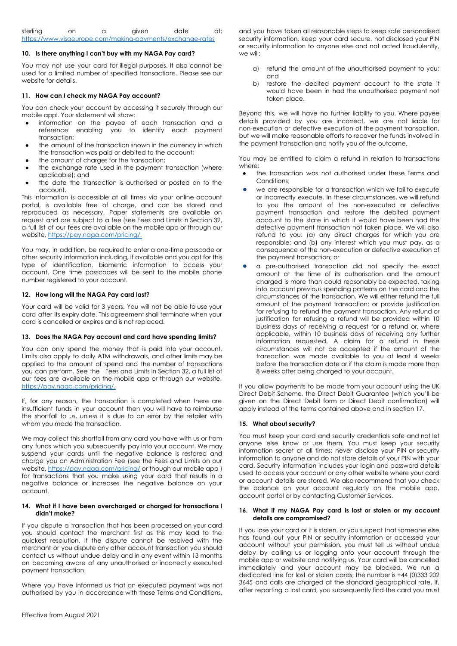| sterling                                                  | on |  | given | date | at: |  |  |
|-----------------------------------------------------------|----|--|-------|------|-----|--|--|
| https://www.visaeurope.com/making-payments/exchange-rates |    |  |       |      |     |  |  |

### **10. Is there anything I can't buy with my NAGA Pay card?**

You may not use your card for illegal purposes. It also cannot be used for a limited number of specified transactions. Please see our website for details.

### **11. How can I check my NAGA Pay account?**

You can check your account by accessing it securely through our mobile appl. Your statement will show:

- information on the payee of each transaction and a reference enabling you to identify each payment transaction;
- the amount of the transaction shown in the currency in which the transaction was paid or debited to the account;
- the amount of charges for the transaction:
- the exchange rate used in the payment transaction (where applicable); and
- the date the transaction is authorised or posted on to the account.

This information is accessible at all times via your online account portal, is available free of charge, and can be stored and reproduced as necessary. Paper statements are available on request and are subject to a fee (see Fees and Limits in Section 32, a full list of our fees are available on the mobile app or through our website, [https://pay.naga.com/pricing/.](https://pay.naga.com/pricing/)

You may, in addition, be required to enter a one-time passcode or other security information including, if available and you opt for this type of identification, biometric information to access your account. One time passcodes will be sent to the mobile phone number registered to your account.

## **12. How long will the NAGA Pay card last?**

Your card will be valid for 3 years. You will not be able to use your card after its expiry date. This agreement shall terminate when your card is cancelled or expires and is not replaced.

#### **13. Does the NAGA Pay account and card have spending limits?**

You can only spend the money that is paid into your account. Limits also apply to daily ATM withdrawals, and other limits may be applied to the amount of spend and the number of transactions you can perform. See the Fees and Limits in Section 32, a full list of our fees are available on the mobile app or through our website, [https://pay.naga.com/pricing/.](https://pay.naga.com/pricing/)

If, for any reason, the transaction is completed when there are insufficient funds in your account then you will have to reimburse the shortfall to us, unless it is due to an error by the retailer with whom you made the transaction.

We may collect this shortfall from any card you have with us or from any funds which you subsequently pay into your account. We may suspend your cards until the negative balance is restored and charge you an Administration Fee (see the Fees and Limits on our website, <https://pay.naga.com/pricing/> or though our mobile app ) for transactions that you make using your card that results in a negative balance or increases the negative balance on your account.

#### **14. What if I have been overcharged or charged for transactions I didn't make?**

If you dispute a transaction that has been processed on your card you should contact the merchant first as this may lead to the quickest resolution. If the dispute cannot be resolved with the merchant or you dispute any other account transaction you should contact us without undue delay and in any event within 13 months on becoming aware of any unauthorised or incorrectly executed payment transaction.

Where you have informed us that an executed payment was not authorised by you in accordance with these Terms and Conditions,

and you have taken all reasonable steps to keep safe personalised security information, keep your card secure, not disclosed your PIN or security information to anyone else and not acted fraudulently, we will:

- a) refund the amount of the unauthorised payment to you; and
- b) restore the debited payment account to the state it would have been in had the unauthorised payment not taken place.

Beyond this, we will have no further liability to you. Where payee details provided by you are incorrect, we are not liable for non-execution or defective execution of the payment transaction, but we will make reasonable efforts to recover the funds involved in the payment transaction and notify you of the outcome.

You may be entitled to claim a refund in relation to transactions where:

- the transaction was not authorised under these Terms and Conditions;
- we are responsible for a transaction which we fail to execute or incorrectly execute. In these circumstances, we will refund to you the amount of the non-executed or defective payment transaction and restore the debited payment account to the state in which it would have been had the defective payment transaction not taken place. We will also refund to you: (a) any direct charges for which you are responsible; and (b) any interest which you must pay, as a consequence of the non-execution or defective execution of the payment transaction; or
- a pre-authorised transaction did not specify the exact amount at the time of its authorisation and the amount charged is more than could reasonably be expected, taking into account previous spending patterns on the card and the circumstances of the transaction. We will either refund the full amount of the payment transaction; or provide justification for refusing to refund the payment transaction. Any refund or justification for refusing a refund will be provided within 10 business days of receiving a request for a refund or, where applicable, within 10 business days of receiving any further information requested. A claim for a refund in these circumstances will not be accepted if the amount of the transaction was made available to you at least 4 weeks before the transaction date or if the claim is made more than 8 weeks after being charged to your account.

If you allow payments to be made from your account using the UK Direct Debit Scheme, the Direct Debit Guarantee (which you'll be given on the Direct Debit form or Direct Debit confirmation) will apply instead of the terms contained above and in section 17.

## **15. What about security?**

You must keep your card and security credentials safe and not let anyone else know or use them. You must keep your security information secret at all times; never disclose your PIN or security information to anyone and do not store details of your PIN with your card. Security information includes your login and password details used to access your account or any other website where your card or account details are stored. We also recommend that you check the balance on your account regularly on the mobile app, account portal or by contacting Customer Services.

#### **16. What if my NAGA Pay card is lost or stolen or my account details are compromised?**

If you lose your card or it is stolen, or you suspect that someone else has found out your PIN or security information or accessed your account without your permission, you must tell us without undue delay by calling us or logging onto your account through the mobile app or website and notifying us. Your card will be cancelled immediately and your account may be blocked. We run a dedicated line for lost or stolen cards; the number is +44 (0)333 202 3645 and calls are charged at the standard geographical rate. If, after reporting a lost card, you subsequently find the card you must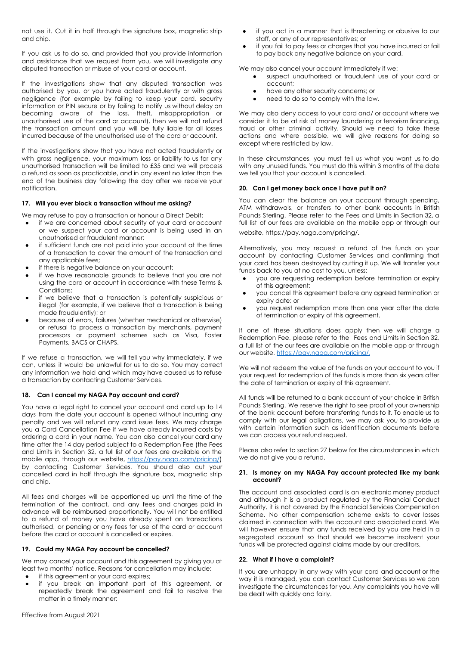not use it. Cut it in half through the signature box, magnetic strip and chip.

If you ask us to do so, and provided that you provide information and assistance that we request from you, we will investigate any disputed transaction or misuse of your card or account.

If the investigations show that any disputed transaction was authorised by you, or you have acted fraudulently or with gross negligence (for example by failing to keep your card, security information or PIN secure or by failing to notify us without delay on becoming aware of the loss, theft, misappropriation or unauthorised use of the card or account), then we will not refund the transaction amount and you will be fully liable for all losses incurred because of the unauthorised use of the card or account.

If the investigations show that you have not acted fraudulently or with gross negligence, your maximum loss or liability to us for any unauthorised transaction will be limited to £35 and we will process a refund as soon as practicable, and in any event no later than the end of the business day following the day after we receive your notification.

### **17. Will you ever block a transaction without me asking?**

We may refuse to pay a transaction or honour a Direct Debit:

- if we are concerned about security of your card or account or we suspect your card or account is being used in an unauthorised or fraudulent manner;
- if sufficient funds are not paid into your account at the time of a transaction to cover the amount of the transaction and any applicable fees;
- if there is negative balance on your account;
- if we have reasonable grounds to believe that you are not using the card or account in accordance with these Terms & Conditions;
- if we believe that a transaction is potentially suspicious or illegal (for example, if we believe that a transaction is being made fraudulently); or
- because of errors, failures (whether mechanical or otherwise) or refusal to process a transaction by merchants, payment processors or payment schemes such as Visa, Faster Payments, BACS or CHAPS.

If we refuse a transaction, we will tell you why immediately, if we can, unless it would be unlawful for us to do so. You may correct any information we hold and which may have caused us to refuse a transaction by contacting Customer Services.

## **18. Can I cancel my NAGA Pay account and card?**

You have a legal right to cancel your account and card up to 14 days from the date your account is opened without incurring any penalty and we will refund any card issue fees. We may charge you a Card Cancellation Fee if we have already incurred costs by ordering a card in your name. You can also cancel your card any time after the 14 day period subject to a Redemption Fee (the Fees and Limits in Section 32, a full list of our fees are available on the mobile app, through our website, <https://pay.naga.com/pricing/>) by contacting Customer Services. You should also cut your cancelled card in half through the signature box, magnetic strip and chip.

All fees and charges will be apportioned up until the time of the termination of the contract, and any fees and charges paid in advance will be reimbursed proportionally. You will not be entitled to a refund of money you have already spent on transactions authorised, or pending or any fees for use of the card or account before the card or account is cancelled or expires.

### **19. Could my NAGA Pay account be cancelled?**

We may cancel your account and this agreement by giving you at least two months' notice. Reasons for cancellation may include:

- if this agreement or your card expires;
- if you break an important part of this agreement, or repeatedly break the agreement and fail to resolve the matter in a timely manner;
- if you act in a manner that is threatening or abusive to our staff, or any of our representatives; or
- if you fail to pay fees or charges that you have incurred or fail to pay back any negative balance on your card.

We may also cancel your account immediately if we:

- suspect unauthorised or fraudulent use of your card or account;
- have any other security concerns; or
- need to do so to comply with the law.

We may also deny access to your card and/ or account where we consider it to be at risk of money laundering or terrorism financing, fraud or other criminal activity. Should we need to take these actions and where possible, we will give reasons for doing so except where restricted by law.

In these circumstances, you must tell us what you want us to do with any unused funds. You must do this within 3 months of the date we tell you that your account is cancelled.

### **20. Can I get money back once I have put it on?**

You can clear the balance on your account through spending, ATM withdrawals, or transfers to other bank accounts in British Pounds Sterling. Please refer to the Fees and Limits in Section 32, a full list of our fees are available on the mobile app or through our website, https://pay.naga.com/pricing/.

Alternatively, you may request a refund of the funds on your account by contacting Customer Services and confirming that your card has been destroyed by cutting it up. We will transfer your funds back to you at no cost to you, unless:

- you are requesting redemption before termination or expiry of this agreement;
- you cancel this agreement before any agreed termination or expiry date; or
- you request redemption more than one year after the date of termination or expiry of this agreement.

If one of these situations does apply then we will charge a Redemption Fee, please refer to the Fees and Limits in Section 32, a full list of the our fees are available on the mobile app or through our website, <https://pay.naga.com/pricing/>.

We will not redeem the value of the funds on your account to you if your request for redemption of the funds is more than six years after the date of termination or expiry of this agreement.

All funds will be returned to a bank account of your choice in British Pounds Sterling. We reserve the right to see proof of your ownership of the bank account before transferring funds to it. To enable us to comply with our legal obligations, we may ask you to provide us with certain information such as identification documents before we can process your refund request.

Please also refer to section 27 below for the circumstances in which we do not give you a refund.

#### **21. Is money on my NAGA Pay account protected like my bank account?**

The account and associated card is an electronic money product and although it is a product regulated by the Financial Conduct Authority, it is not covered by the Financial Services Compensation Scheme. No other compensation scheme exists to cover losses claimed in connection with the account and associated card. We will however ensure that any funds received by you are held in a segregated account so that should we become insolvent your funds will be protected against claims made by our creditors.

#### **22. What if I have a complaint?**

If you are unhappy in any way with your card and account or the way it is managed, you can contact Customer Services so we can investigate the circumstances for you. Any complaints you have will be dealt with quickly and fairly.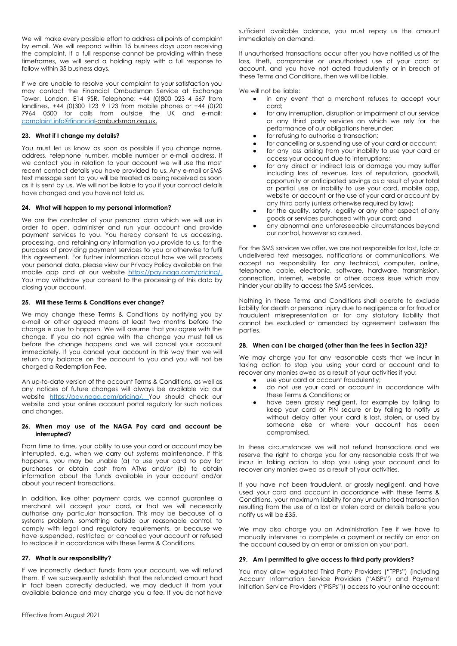We will make every possible effort to address all points of complaint by email. We will respond within 15 business days upon receiving the complaint. If a full response cannot be providing within these timeframes, we will send a holding reply with a full response to follow within 35 business days.

If we are unable to resolve your complaint to your satisfaction you may contact the Financial Ombudsman Service at Exchange Tower, London, E14 9SR. Telephone: +44 (0)800 023 4 567 from landlines, +44 (0)300 123 9 123 from mobile phones or +44 (0)20 7964 0500 for calls from outside the UK and e-mail: complaint.info@financial-ombudsman.org.uk.

## **23. What if I change my details?**

You must let us know as soon as possible if you change name, address, telephone number, mobile number or e-mail address. If we contact you in relation to your account we will use the most recent contact details you have provided to us. Any e-mail or SMS text message sent to you will be treated as being received as soon as it is sent by us. We will not be liable to you if your contact details have changed and you have not told us.

## **24. What will happen to my personal information?**

We are the controller of your personal data which we will use in order to open, administer and run your account and provide payment services to you. You hereby consent to us accessing, processing, and retaining any information you provide to us, for the purposes of providing payment services to you or otherwise to fulfil this agreement. For further information about how we will process your personal data, please view our Privacy Policy available on the mobile app and at our website [https://pay.naga.com/pricing/.](https://pay.naga.com/pricing/) You may withdraw your consent to the processing of this data by closing your account.

### **25. Will these Terms & Conditions ever change?**

We may change these Terms & Conditions by notifying you by e-mail or other agreed means at least two months before the change is due to happen. We will assume that you agree with the change. If you do not agree with the change you must tell us before the change happens and we will cancel your account immediately. If you cancel your account in this way then we will return any balance on the account to you and you will not be charged a Redemption Fee.

An up-to-date version of the account Terms & Conditions, as well as any notices of future changes will always be available via our website <https://pay.naga.com/pricing/>. You should check our website and your online account portal regularly for such notices and changes.

#### **26. When may use of the NAGA Pay card and account be interrupted?**

From time to time, your ability to use your card or account may be interrupted, e.g. when we carry out systems maintenance. If this happens, you may be unable (a) to use your card to pay for purchases or obtain cash from ATMs and/or (b) to obtain information about the funds available in your account and/or about your recent transactions.

In addition, like other payment cards, we cannot guarantee a merchant will accept your card, or that we will necessarily authorise any particular transaction. This may be because of a systems problem, something outside our reasonable control, to comply with legal and regulatory requirements, or because we have suspended, restricted or cancelled your account or refused to replace it in accordance with these Terms & Conditions.

### **27. What is our responsibility?**

If we incorrectly deduct funds from your account, we will refund them. If we subsequently establish that the refunded amount had in fact been correctly deducted, we may deduct it from your available balance and may charge you a fee. If you do not have

sufficient available balance, you must repay us the amount immediately on demand.

If unauthorised transactions occur after you have notified us of the loss, theft, compromise or unauthorised use of your card or account, and you have not acted fraudulently or in breach of these Terms and Conditions, then we will be liable.

We will not be liable:

- in any event that a merchant refuses to accept your card;
- for any interruption, disruption or impairment of our service or any third party services on which we rely for the performance of our obligations hereunder;
- for refusing to authorise a transaction;
- for cancelling or suspending use of your card or account;
- for any loss arising from your inability to use your card or access your account due to interruptions;
- for any direct or indirect loss or damage you may suffer including loss of revenue, loss of reputation, goodwill, opportunity or anticipated savings as a result of your total or partial use or inability to use your card, mobile app, website or account or the use of your card or account by any third party (unless otherwise required by law);
- for the quality, safety, legality or any other aspect of any goods or services purchased with your card; and
- any abnormal and unforeseeable circumstances beyond our control, however so caused.

For the SMS services we offer, we are not responsible for lost, late or undelivered text messages, notifications or communications. We accept no responsibility for any technical, computer, online, telephone, cable, electronic, software, hardware, transmission, connection, internet, website or other access issue which may hinder your ability to access the SMS services.

Nothing in these Terms and Conditions shall operate to exclude liability for death or personal injury due to negligence or for fraud or fraudulent misrepresentation or for any statutory liability that cannot be excluded or amended by agreement between the parties.

#### **28. When can I be charged (other than the fees in Section 32)?**

We may charge you for any reasonable costs that we incur in taking action to stop you using your card or account and to recover any monies owed as a result of your activities if you:

- use your card or account fraudulently;
- do not use your card or account in accordance with these Terms & Conditions; or
- have been grossly negligent, for example by failing to keep your card or PIN secure or by failing to notify us without delay after your card is lost, stolen, or used by someone else or where your account has been compromised.

In these circumstances we will not refund transactions and we reserve the right to charge you for any reasonable costs that we incur in taking action to stop you using your account and to recover any monies owed as a result of your activities.

If you have not been fraudulent, or grossly negligent, and have used your card and account in accordance with these Terms & Conditions, your maximum liability for any unauthorised transaction resulting from the use of a lost or stolen card or details before you notify us will be £35.

We may also charge you an Administration Fee if we have to manually intervene to complete a payment or rectify an error on the account caused by an error or omission on your part.

#### **29. Am I permitted to give access to third party providers?**

You may allow regulated Third Party Providers ("TPPs") (including Account Information Service Providers ("AISPs") and Payment Initiation Service Providers ("PISPs")) access to your online account;